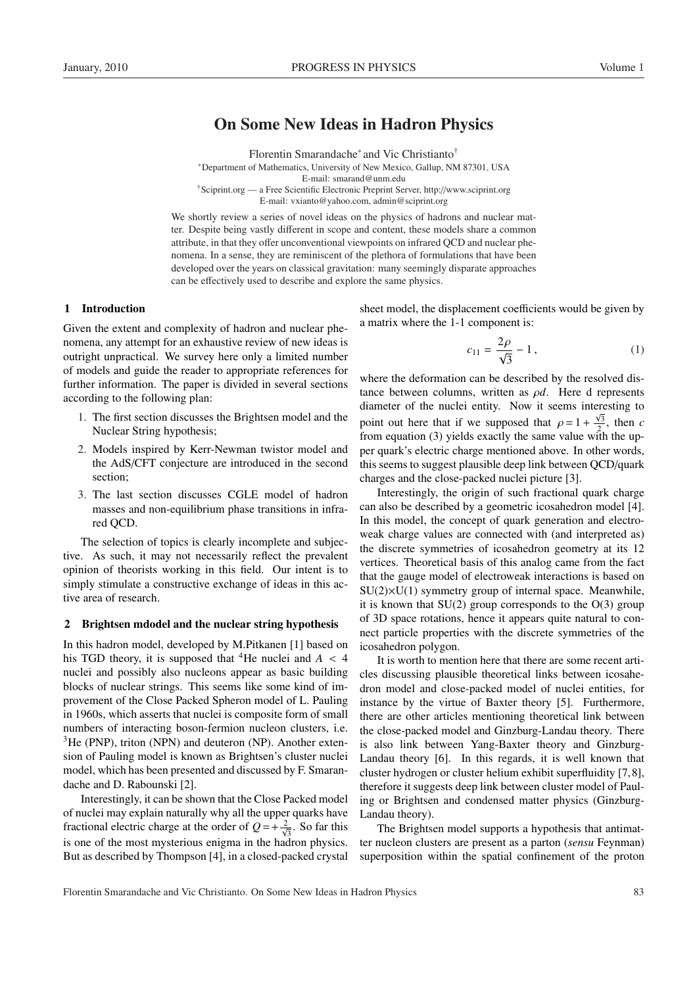# On Some New Ideas in Hadron Physics

Florentin Smarandache<sup>∗</sup> and Vic Christianto† <sup>∗</sup>Department of Mathematics, University of New Mexico, Gallup, NM 87301, USA E-mail: smarand@unm.edu †Sciprint.org — a Free Scientific Electronic Preprint Server, http://www.sciprint.org E-mail: vxianto@yahoo.com, admin@sciprint.org

We shortly review a series of novel ideas on the physics of hadrons and nuclear matter. Despite being vastly different in scope and content, these models share a common attribute, in that they offer unconventional viewpoints on infrared QCD and nuclear phenomena. In a sense, they are reminiscent of the plethora of formulations that have been developed over the years on classical gravitation: many seemingly disparate approaches can be effectively used to describe and explore the same physics.

# 1 Introduction

Given the extent and complexity of hadron and nuclear phenomena, any attempt for an exhaustive review of new ideas is outright unpractical. We survey here only a limited number of models and guide the reader to appropriate references for further information. The paper is divided in several sections according to the following plan:

- 1. The first section discusses the Brightsen model and the Nuclear String hypothesis;
- 2. Models inspired by Kerr-Newman twistor model and the AdS/CFT conjecture are introduced in the second section;
- 3. The last section discusses CGLE model of hadron masses and non-equilibrium phase transitions in infrared QCD.

The selection of topics is clearly incomplete and subjective. As such, it may not necessarily reflect the prevalent opinion of theorists working in this field. Our intent is to simply stimulate a constructive exchange of ideas in this active area of research.

### 2 Brightsen mdodel and the nuclear string hypothesis

In this hadron model, developed by M.Pitkanen [1] based on his TGD theory, it is supposed that <sup>4</sup>He nuclei and  $A < 4$ nuclei and possibly also nucleons appear as basic building blocks of nuclear strings. This seems like some kind of improvement of the Close Packed Spheron model of L. Pauling in 1960s, which asserts that nuclei is composite form of small numbers of interacting boson-fermion nucleon clusters, i.e.  $3$ He (PNP), triton (NPN) and deuteron (NP). Another extension of Pauling model is known as Brightsen's cluster nuclei model, which has been presented and discussed by F. Smarandache and D. Rabounski [2].

Interestingly, it can be shown that the Close Packed model of nuclei may explain naturally why all the upper quarks have fractional electric charge at the order of  $Q = +\frac{2}{\sqrt{3}}$ . So far this is one of the most mysterious enigma in the hadron physics. But as described by Thompson [4], in a closed-packed crystal sheet model, the displacement coefficients would be given by a matrix where the 1-1 component is:

$$
c_{11} = \frac{2\rho}{\sqrt{3}} - 1, \tag{1}
$$

where the deformation can be described by the resolved distance between columns, written as ρ*d*. Here d represents diameter of the nuclei entity. Now it seems interesting to point out here that if we supposed that  $\rho = 1 + \frac{\sqrt{3}}{2}$  $\frac{\sqrt{3}}{2}$ , then *c* from equation (3) yields exactly the same value with the upper quark's electric charge mentioned above. In other words, this seems to suggest plausible deep link between QCD/quark charges and the close-packed nuclei picture [3].

Interestingly, the origin of such fractional quark charge can also be described by a geometric icosahedron model [4]. In this model, the concept of quark generation and electroweak charge values are connected with (and interpreted as) the discrete symmetries of icosahedron geometry at its 12 vertices. Theoretical basis of this analog came from the fact that the gauge model of electroweak interactions is based on  $SU(2)\times U(1)$  symmetry group of internal space. Meanwhile, it is known that  $SU(2)$  group corresponds to the  $O(3)$  group of 3D space rotations, hence it appears quite natural to connect particle properties with the discrete symmetries of the icosahedron polygon.

It is worth to mention here that there are some recent articles discussing plausible theoretical links between icosahedron model and close-packed model of nuclei entities, for instance by the virtue of Baxter theory [5]. Furthermore, there are other articles mentioning theoretical link between the close-packed model and Ginzburg-Landau theory. There is also link between Yang-Baxter theory and Ginzburg-Landau theory [6]. In this regards, it is well known that cluster hydrogen or cluster helium exhibit superfluidity [7,8], therefore it suggests deep link between cluster model of Pauling or Brightsen and condensed matter physics (Ginzburg-Landau theory).

The Brightsen model supports a hypothesis that antimatter nucleon clusters are present as a parton (*sensu* Feynman) superposition within the spatial confinement of the proton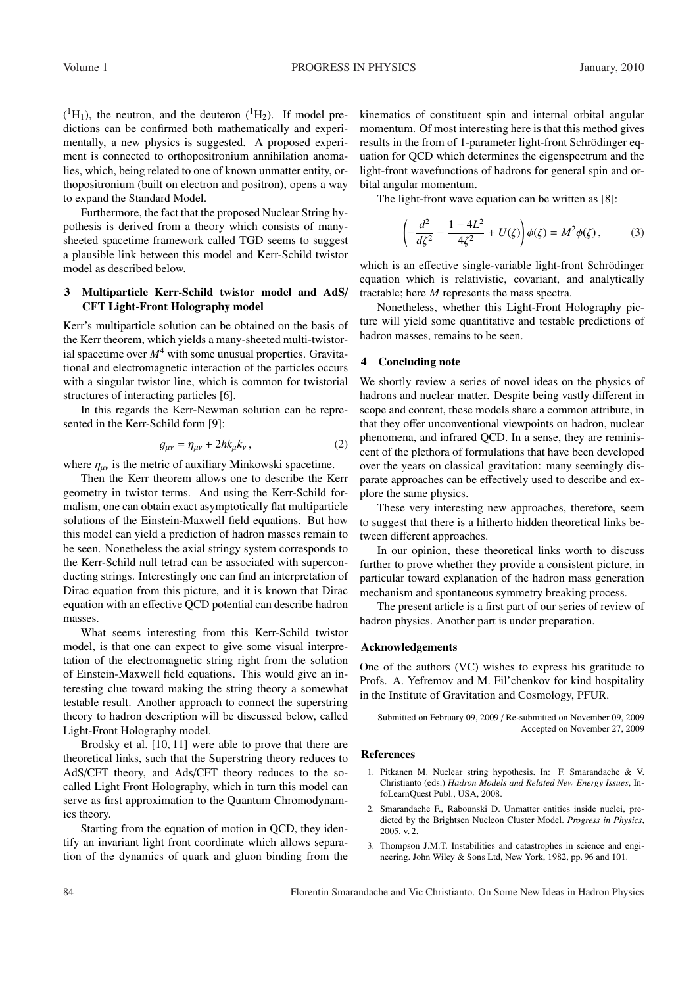$({}^{1}H_{1})$ , the neutron, and the deuteron  $({}^{1}H_{2})$ . If model predictions can be confirmed both mathematically and experimentally, a new physics is suggested. A proposed experiment is connected to orthopositronium annihilation anomalies, which, being related to one of known unmatter entity, orthopositronium (built on electron and positron), opens a way to expand the Standard Model.

Furthermore, the fact that the proposed Nuclear String hypothesis is derived from a theory which consists of manysheeted spacetime framework called TGD seems to suggest a plausible link between this model and Kerr-Schild twistor model as described below.

# 3 Multiparticle Kerr-Schild twistor model and AdS/ CFT Light-Front Holography model

Kerr's multiparticle solution can be obtained on the basis of the Kerr theorem, which yields a many-sheeted multi-twistorial spacetime over  $M^4$  with some unusual properties. Gravitational and electromagnetic interaction of the particles occurs with a singular twistor line, which is common for twistorial structures of interacting particles [6].

In this regards the Kerr-Newman solution can be represented in the Kerr-Schild form [9]:

$$
g_{\mu\nu} = \eta_{\mu\nu} + 2hk_{\mu}k_{\nu},\qquad(2)
$$

where  $\eta_{\mu\nu}$  is the metric of auxiliary Minkowski spacetime.

Then the Kerr theorem allows one to describe the Kerr geometry in twistor terms. And using the Kerr-Schild formalism, one can obtain exact asymptotically flat multiparticle solutions of the Einstein-Maxwell field equations. But how this model can yield a prediction of hadron masses remain to be seen. Nonetheless the axial stringy system corresponds to the Kerr-Schild null tetrad can be associated with superconducting strings. Interestingly one can find an interpretation of Dirac equation from this picture, and it is known that Dirac equation with an effective QCD potential can describe hadron masses.

What seems interesting from this Kerr-Schild twistor model, is that one can expect to give some visual interpretation of the electromagnetic string right from the solution of Einstein-Maxwell field equations. This would give an interesting clue toward making the string theory a somewhat testable result. Another approach to connect the superstring theory to hadron description will be discussed below, called Light-Front Holography model.

Brodsky et al. [10, 11] were able to prove that there are theoretical links, such that the Superstring theory reduces to AdS/CFT theory, and Ads/CFT theory reduces to the socalled Light Front Holography, which in turn this model can serve as first approximation to the Quantum Chromodynamics theory.

Starting from the equation of motion in QCD, they identify an invariant light front coordinate which allows separation of the dynamics of quark and gluon binding from the

kinematics of constituent spin and internal orbital angular momentum. Of most interesting here is that this method gives results in the from of 1-parameter light-front Schrödinger equation for QCD which determines the eigenspectrum and the light-front wavefunctions of hadrons for general spin and orbital angular momentum.

The light-front wave equation can be written as [8]:

$$
\left(-\frac{d^2}{d\zeta^2} - \frac{1 - 4L^2}{4\zeta^2} + U(\zeta)\right)\phi(\zeta) = M^2\phi(\zeta),\tag{3}
$$

which is an effective single-variable light-front Schrödinger equation which is relativistic, covariant, and analytically tractable; here *M* represents the mass spectra.

Nonetheless, whether this Light-Front Holography picture will yield some quantitative and testable predictions of hadron masses, remains to be seen.

# 4 Concluding note

We shortly review a series of novel ideas on the physics of hadrons and nuclear matter. Despite being vastly different in scope and content, these models share a common attribute, in that they offer unconventional viewpoints on hadron, nuclear phenomena, and infrared QCD. In a sense, they are reminiscent of the plethora of formulations that have been developed over the years on classical gravitation: many seemingly disparate approaches can be effectively used to describe and explore the same physics.

These very interesting new approaches, therefore, seem to suggest that there is a hitherto hidden theoretical links between different approaches.

In our opinion, these theoretical links worth to discuss further to prove whether they provide a consistent picture, in particular toward explanation of the hadron mass generation mechanism and spontaneous symmetry breaking process.

The present article is a first part of our series of review of hadron physics. Another part is under preparation.

# Acknowledgements

One of the authors (VC) wishes to express his gratitude to Profs. A. Yefremov and M. Fil'chenkov for kind hospitality in the Institute of Gravitation and Cosmology, PFUR.

Submitted on February 09, 2009 / Re-submitted on November 09, 2009 Accepted on November 27, 2009

#### References

- 1. Pitkanen M. Nuclear string hypothesis. In: F. Smarandache & V. Christianto (eds.) *Hadron Models and Related New Energy Issues*, InfoLearnQuest Publ., USA, 2008.
- 2. Smarandache F., Rabounski D. Unmatter entities inside nuclei, predicted by the Brightsen Nucleon Cluster Model. *Progress in Physics*, 2005, v. 2.
- 3. Thompson J.M.T. Instabilities and catastrophes in science and engineering. John Wiley & Sons Ltd, New York, 1982, pp. 96 and 101.